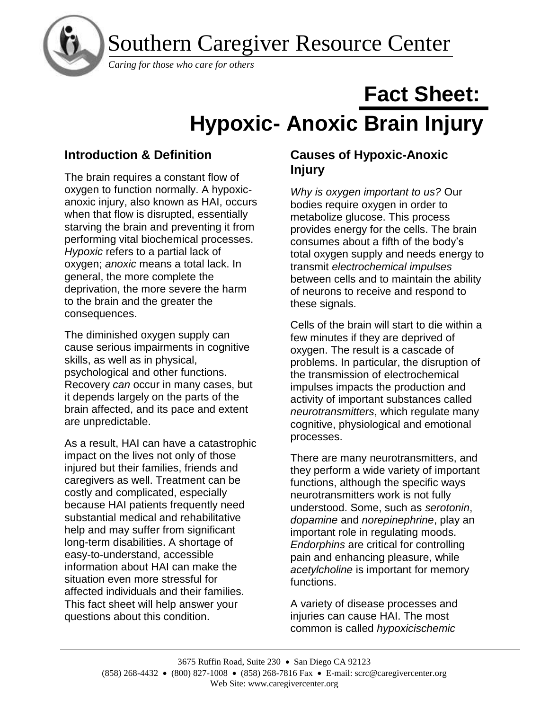Southern Caregiver Resource Center



*Caring for those who care for others*

# **Fact Sheet: Hypoxic- Anoxic Brain Injury**

## **Introduction & Definition**

The brain requires a constant flow of oxygen to function normally. A hypoxicanoxic injury, also known as HAI, occurs when that flow is disrupted, essentially starving the brain and preventing it from performing vital biochemical processes. *Hypoxic* refers to a partial lack of oxygen; *anoxic* means a total lack. In general, the more complete the deprivation, the more severe the harm to the brain and the greater the consequences.

The diminished oxygen supply can cause serious impairments in cognitive skills, as well as in physical, psychological and other functions. Recovery *can* occur in many cases, but it depends largely on the parts of the brain affected, and its pace and extent are unpredictable.

As a result, HAI can have a catastrophic impact on the lives not only of those injured but their families, friends and caregivers as well. Treatment can be costly and complicated, especially because HAI patients frequently need substantial medical and rehabilitative help and may suffer from significant long-term disabilities. A shortage of easy-to-understand, accessible information about HAI can make the situation even more stressful for affected individuals and their families. This fact sheet will help answer your questions about this condition.

## **Causes of Hypoxic-Anoxic Injury**

*Why is oxygen important to us?* Our bodies require oxygen in order to metabolize glucose. This process provides energy for the cells. The brain consumes about a fifth of the body's total oxygen supply and needs energy to transmit *electrochemical impulses* between cells and to maintain the ability of neurons to receive and respond to these signals.

Cells of the brain will start to die within a few minutes if they are deprived of oxygen. The result is a cascade of problems. In particular, the disruption of the transmission of electrochemical impulses impacts the production and activity of important substances called *neurotransmitters*, which regulate many cognitive, physiological and emotional processes.

There are many neurotransmitters, and they perform a wide variety of important functions, although the specific ways neurotransmitters work is not fully understood. Some, such as *serotonin*, *dopamine* and *norepinephrine*, play an important role in regulating moods. *Endorphins* are critical for controlling pain and enhancing pleasure, while *acetylcholine* is important for memory functions.

A variety of disease processes and injuries can cause HAI. The most common is called *hypoxicischemic*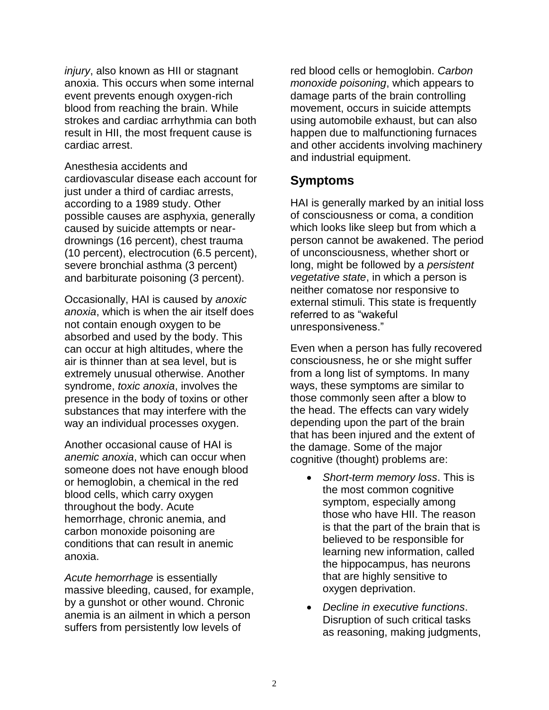*injury*, also known as HII or stagnant anoxia. This occurs when some internal event prevents enough oxygen-rich blood from reaching the brain. While strokes and cardiac arrhythmia can both result in HII, the most frequent cause is cardiac arrest.

Anesthesia accidents and cardiovascular disease each account for just under a third of cardiac arrests, according to a 1989 study. Other possible causes are asphyxia, generally caused by suicide attempts or neardrownings (16 percent), chest trauma (10 percent), electrocution (6.5 percent), severe bronchial asthma (3 percent) and barbiturate poisoning (3 percent).

Occasionally, HAI is caused by *anoxic anoxia*, which is when the air itself does not contain enough oxygen to be absorbed and used by the body. This can occur at high altitudes, where the air is thinner than at sea level, but is extremely unusual otherwise. Another syndrome, *toxic anoxia*, involves the presence in the body of toxins or other substances that may interfere with the way an individual processes oxygen.

Another occasional cause of HAI is *anemic anoxia*, which can occur when someone does not have enough blood or hemoglobin, a chemical in the red blood cells, which carry oxygen throughout the body. Acute hemorrhage, chronic anemia, and carbon monoxide poisoning are conditions that can result in anemic anoxia.

*Acute hemorrhage* is essentially massive bleeding, caused, for example, by a gunshot or other wound. Chronic anemia is an ailment in which a person suffers from persistently low levels of

red blood cells or hemoglobin. *Carbon monoxide poisoning*, which appears to damage parts of the brain controlling movement, occurs in suicide attempts using automobile exhaust, but can also happen due to malfunctioning furnaces and other accidents involving machinery and industrial equipment.

#### **Symptoms**

HAI is generally marked by an initial loss of consciousness or coma, a condition which looks like sleep but from which a person cannot be awakened. The period of unconsciousness, whether short or long, might be followed by a *persistent vegetative state*, in which a person is neither comatose nor responsive to external stimuli. This state is frequently referred to as "wakeful unresponsiveness."

Even when a person has fully recovered consciousness, he or she might suffer from a long list of symptoms. In many ways, these symptoms are similar to those commonly seen after a blow to the head. The effects can vary widely depending upon the part of the brain that has been injured and the extent of the damage. Some of the major cognitive (thought) problems are:

- *Short-term memory loss*. This is the most common cognitive symptom, especially among those who have HII. The reason is that the part of the brain that is believed to be responsible for learning new information, called the hippocampus, has neurons that are highly sensitive to oxygen deprivation.
- *Decline in executive functions*. Disruption of such critical tasks as reasoning, making judgments,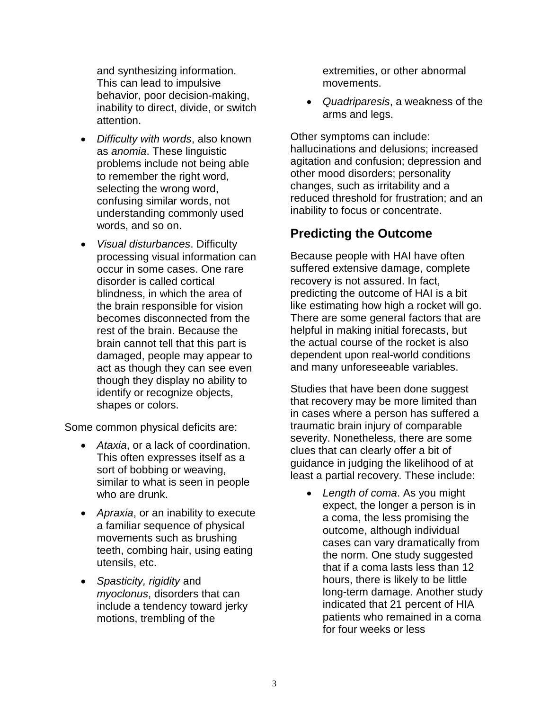and synthesizing information. This can lead to impulsive behavior, poor decision-making, inability to direct, divide, or switch attention.

- *Difficulty with words*, also known as *anomia*. These linguistic problems include not being able to remember the right word, selecting the wrong word, confusing similar words, not understanding commonly used words, and so on.
- *Visual disturbances*. Difficulty processing visual information can occur in some cases. One rare disorder is called cortical blindness, in which the area of the brain responsible for vision becomes disconnected from the rest of the brain. Because the brain cannot tell that this part is damaged, people may appear to act as though they can see even though they display no ability to identify or recognize objects, shapes or colors.

Some common physical deficits are:

- *Ataxia*, or a lack of coordination. This often expresses itself as a sort of bobbing or weaving, similar to what is seen in people who are drunk.
- *Apraxia*, or an inability to execute a familiar sequence of physical movements such as brushing teeth, combing hair, using eating utensils, etc.
- *Spasticity, rigidity* and *myoclonus*, disorders that can include a tendency toward jerky motions, trembling of the

extremities, or other abnormal movements.

• *Quadriparesis*, a weakness of the arms and legs.

Other symptoms can include: hallucinations and delusions; increased agitation and confusion; depression and other mood disorders; personality changes, such as irritability and a reduced threshold for frustration; and an inability to focus or concentrate.

## **Predicting the Outcome**

Because people with HAI have often suffered extensive damage, complete recovery is not assured. In fact, predicting the outcome of HAI is a bit like estimating how high a rocket will go. There are some general factors that are helpful in making initial forecasts, but the actual course of the rocket is also dependent upon real-world conditions and many unforeseeable variables.

Studies that have been done suggest that recovery may be more limited than in cases where a person has suffered a traumatic brain injury of comparable severity. Nonetheless, there are some clues that can clearly offer a bit of guidance in judging the likelihood of at least a partial recovery. These include:

• *Length of coma*. As you might expect, the longer a person is in a coma, the less promising the outcome, although individual cases can vary dramatically from the norm. One study suggested that if a coma lasts less than 12 hours, there is likely to be little long-term damage. Another study indicated that 21 percent of HIA patients who remained in a coma for four weeks or less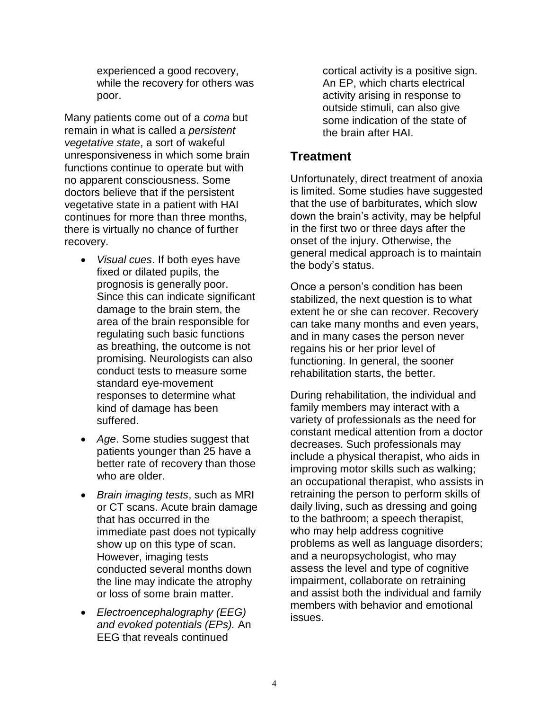experienced a good recovery, while the recovery for others was poor.

Many patients come out of a *coma* but remain in what is called a *persistent vegetative state*, a sort of wakeful unresponsiveness in which some brain functions continue to operate but with no apparent consciousness. Some doctors believe that if the persistent vegetative state in a patient with HAI continues for more than three months, there is virtually no chance of further recovery.

- *Visual cues*. If both eyes have fixed or dilated pupils, the prognosis is generally poor. Since this can indicate significant damage to the brain stem, the area of the brain responsible for regulating such basic functions as breathing, the outcome is not promising. Neurologists can also conduct tests to measure some standard eye-movement responses to determine what kind of damage has been suffered.
- *Age*. Some studies suggest that patients younger than 25 have a better rate of recovery than those who are older.
- *Brain imaging tests*, such as MRI or CT scans. Acute brain damage that has occurred in the immediate past does not typically show up on this type of scan. However, imaging tests conducted several months down the line may indicate the atrophy or loss of some brain matter.
- *Electroencephalography (EEG) and evoked potentials (EPs).* An EEG that reveals continued

cortical activity is a positive sign. An EP, which charts electrical activity arising in response to outside stimuli, can also give some indication of the state of the brain after HAI.

### **Treatment**

Unfortunately, direct treatment of anoxia is limited. Some studies have suggested that the use of barbiturates, which slow down the brain's activity, may be helpful in the first two or three days after the onset of the injury. Otherwise, the general medical approach is to maintain the body's status.

Once a person's condition has been stabilized, the next question is to what extent he or she can recover. Recovery can take many months and even years, and in many cases the person never regains his or her prior level of functioning. In general, the sooner rehabilitation starts, the better.

During rehabilitation, the individual and family members may interact with a variety of professionals as the need for constant medical attention from a doctor decreases. Such professionals may include a physical therapist, who aids in improving motor skills such as walking; an occupational therapist, who assists in retraining the person to perform skills of daily living, such as dressing and going to the bathroom; a speech therapist, who may help address cognitive problems as well as language disorders; and a neuropsychologist, who may assess the level and type of cognitive impairment, collaborate on retraining and assist both the individual and family members with behavior and emotional issues.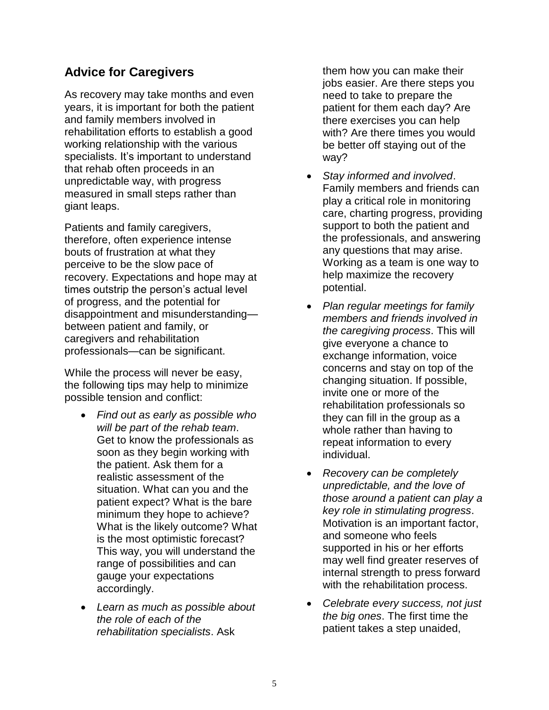## **Advice for Caregivers**

As recovery may take months and even years, it is important for both the patient and family members involved in rehabilitation efforts to establish a good working relationship with the various specialists. It's important to understand that rehab often proceeds in an unpredictable way, with progress measured in small steps rather than giant leaps.

Patients and family caregivers, therefore, often experience intense bouts of frustration at what they perceive to be the slow pace of recovery. Expectations and hope may at times outstrip the person's actual level of progress, and the potential for disappointment and misunderstanding between patient and family, or caregivers and rehabilitation professionals—can be significant.

While the process will never be easy, the following tips may help to minimize possible tension and conflict:

- *Find out as early as possible who will be part of the rehab team*. Get to know the professionals as soon as they begin working with the patient. Ask them for a realistic assessment of the situation. What can you and the patient expect? What is the bare minimum they hope to achieve? What is the likely outcome? What is the most optimistic forecast? This way, you will understand the range of possibilities and can gauge your expectations accordingly.
- *Learn as much as possible about the role of each of the rehabilitation specialists*. Ask

them how you can make their jobs easier. Are there steps you need to take to prepare the patient for them each day? Are there exercises you can help with? Are there times you would be better off staying out of the way?

- *Stay informed and involved*. Family members and friends can play a critical role in monitoring care, charting progress, providing support to both the patient and the professionals, and answering any questions that may arise. Working as a team is one way to help maximize the recovery potential.
- *Plan regular meetings for family members and friends involved in the caregiving process*. This will give everyone a chance to exchange information, voice concerns and stay on top of the changing situation. If possible, invite one or more of the rehabilitation professionals so they can fill in the group as a whole rather than having to repeat information to every individual.
- *Recovery can be completely unpredictable, and the love of those around a patient can play a key role in stimulating progress*. Motivation is an important factor, and someone who feels supported in his or her efforts may well find greater reserves of internal strength to press forward with the rehabilitation process.
- *Celebrate every success, not just the big ones*. The first time the patient takes a step unaided,